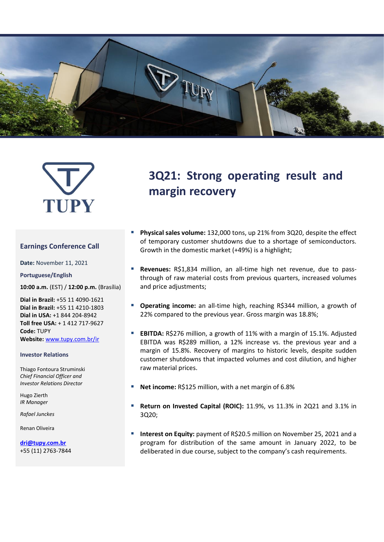



#### **Earnings Conference Call**

**Date:** November 11, 2021

**Portuguese/English**

**10:00 a.m.** (EST) / **12:00 p.m.** (Brasília)

**Dial in Brazil:** +55 11 4090-1621 **Dial in Brazil:** +55 11 4210-1803 **Dial in USA:** +1 844 204-8942 **Toll free USA:** + 1 412 717-9627 **Code:** TUPY **Website:** [www.tupy.com.br/ir](http://www.tupy.com.br/ri)

#### **Investor Relations**

Thiago Fontoura Struminski *Chief Financial Officer and Investor Relations Director*

Hugo Zierth *IR Manager*

*Rafael Junckes*

Renan Oliveira

**[dri@tupy.com.br](mailto:dri@tupy.com.br)** +55 (11) 2763-7844

# **3Q21: Strong operating result and margin recovery**

- Physical sales volume: 132,000 tons, up 21% from 3Q20, despite the effect of temporary customer shutdowns due to a shortage of semiconductors. Growth in the domestic market (+49%) is a highlight;
- Revenues: R\$1,834 million, an all-time high net revenue, due to passthrough of raw material costs from previous quarters, increased volumes and price adjustments;
- Operating income: an all-time high, reaching R\$344 million, a growth of 22% compared to the previous year. Gross margin was 18.8%;
- **EBITDA:** R\$276 million, a growth of 11% with a margin of 15.1%. Adjusted EBITDA was R\$289 million, a 12% increase vs. the previous year and a margin of 15.8%. Recovery of margins to historic levels, despite sudden customer shutdowns that impacted volumes and cost dilution, and higher raw material prices.
- Net income: R\$125 million, with a net margin of 6.8%
- **Return on Invested Capital (ROIC):** 11.9%, vs 11.3% in 2Q21 and 3.1% in 3Q20;
- **Interest on Equity:** payment of R\$20.5 million on November 25, 2021 and a program for distribution of the same amount in January 2022, to be deliberated in due course, subject to the company's cash requirements.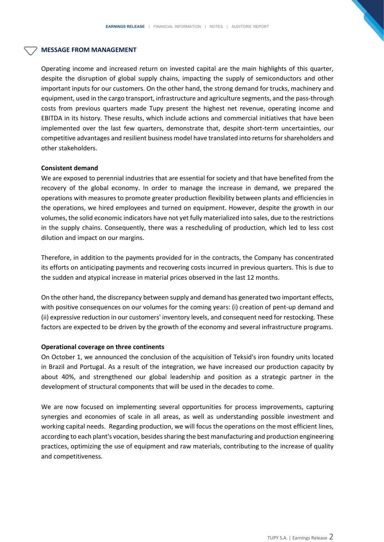#### **MESSAGE FROM MANAGEMENT**

Operating income and increased return on invested capital are the main highlights of this quarter, despite the disruption of global supply chains, impacting the supply of semiconductors and other important inputs for our customers. On the other hand, the strong demand for trucks, machinery and equipment, used in the cargo transport, infrastructure and agriculture segments, and the pass-through costs from previous quarters made Tupy present the highest net revenue, operating income and EBITDA in its history. These results, which include actions and commercial initiatives that have been implemented over the last few quarters, demonstrate that, despite short-term uncertainties, our competitive advantages and resilient business model have translated into returnsfor shareholders and other stakeholders.

#### **Consistent demand**

We are exposed to perennial industries that are essential for society and that have benefited from the recovery of the global economy. In order to manage the increase in demand, we prepared the operations with measures to promote greater production flexibility between plants and efficiencies in the operations, we hired employees and turned on equipment. However, despite the growth in our volumes, the solid economic indicators have not yet fully materialized into sales, due to the restrictions in the supply chains. Consequently, there was a rescheduling of production, which led to less cost dilution and impact on our margins.

Therefore, in addition to the payments provided for in the contracts, the Company has concentrated its efforts on anticipating payments and recovering costs incurred in previous quarters. This is due to the sudden and atypical increase in material prices observed in the last 12 months.

On the other hand, the discrepancy between supply and demand has generated two important effects, with positive consequences on our volumes for the coming years: (i) creation of pent-up demand and (ii) expressive reduction in our customers' inventory levels, and consequent need for restocking. These factors are expected to be driven by the growth of the economy and several infrastructure programs.

#### **Operational coverage on three continents**

On October 1, we announced the conclusion of the acquisition of Teksid's iron foundry units located in Brazil and Portugal. As a result of the integration, we have increased our production capacity by about 40%, and strengthened our global leadership and position as a strategic partner in the development of structural components that will be used in the decades to come.

We are now focused on implementing several opportunities for process improvements, capturing synergies and economies of scale in all areas, as well as understanding possible investment and working capital needs. Regarding production, we will focus the operations on the most efficient lines, according to each plant's vocation, besides sharing the best manufacturing and production engineering practices, optimizing the use of equipment and raw materials, contributing to the increase of quality and competitiveness.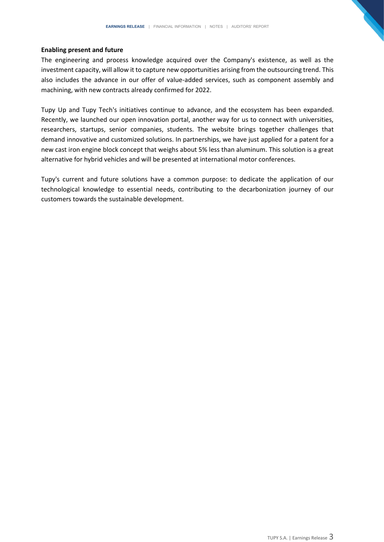#### **Enabling present and future**

The engineering and process knowledge acquired over the Company's existence, as well as the investment capacity, will allow it to capture new opportunities arising from the outsourcing trend. This also includes the advance in our offer of value-added services, such as component assembly and machining, with new contracts already confirmed for 2022.

Tupy Up and Tupy Tech's initiatives continue to advance, and the ecosystem has been expanded. Recently, we launched our open innovation portal, another way for us to connect with universities, researchers, startups, senior companies, students. The website brings together challenges that demand innovative and customized solutions. In partnerships, we have just applied for a patent for a new cast iron engine block concept that weighs about 5% less than aluminum. This solution is a great alternative for hybrid vehicles and will be presented at international motor conferences.

Tupy's current and future solutions have a common purpose: to dedicate the application of our technological knowledge to essential needs, contributing to the decarbonization journey of our customers towards the sustainable development.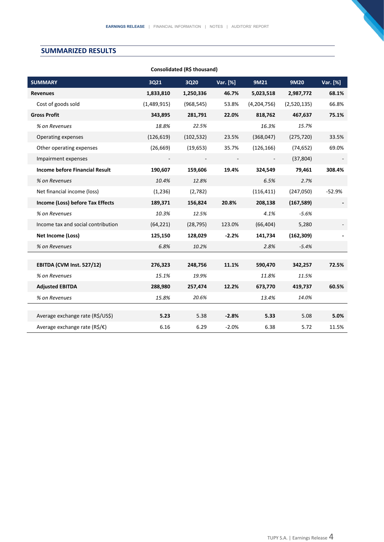## **SUMMARIZED RESULTS**

| Consolidated (R\$ thousand)                   |             |            |          |             |             |          |  |  |  |  |
|-----------------------------------------------|-------------|------------|----------|-------------|-------------|----------|--|--|--|--|
| <b>SUMMARY</b>                                | 3Q21        | 3Q20       | Var. [%] | 9M21        | 9M20        | Var. [%] |  |  |  |  |
| <b>Revenues</b>                               | 1,833,810   | 1,250,336  | 46.7%    | 5,023,518   | 2,987,772   | 68.1%    |  |  |  |  |
| Cost of goods sold                            | (1,489,915) | (968, 545) | 53.8%    | (4,204,756) | (2,520,135) | 66.8%    |  |  |  |  |
| <b>Gross Profit</b>                           | 343,895     | 281,791    | 22.0%    | 818,762     | 467,637     | 75.1%    |  |  |  |  |
| % on Revenues                                 | 18.8%       | 22.5%      |          | 16.3%       | 15.7%       |          |  |  |  |  |
| Operating expenses                            | (126, 619)  | (102, 532) | 23.5%    | (368, 047)  | (275, 720)  | 33.5%    |  |  |  |  |
| Other operating expenses                      | (26, 669)   | (19, 653)  | 35.7%    | (126, 166)  | (74, 652)   | 69.0%    |  |  |  |  |
| Impairment expenses                           |             |            |          |             | (37, 804)   |          |  |  |  |  |
| <b>Income before Financial Result</b>         | 190,607     | 159,606    | 19.4%    | 324,549     | 79,461      | 308.4%   |  |  |  |  |
| % on Revenues                                 | 10.4%       | 12.8%      |          | 6.5%        | 2.7%        |          |  |  |  |  |
| Net financial income (loss)                   | (1,236)     | (2,782)    |          | (116, 411)  | (247,050)   | $-52.9%$ |  |  |  |  |
| Income (Loss) before Tax Effects              | 189,371     | 156,824    | 20.8%    | 208,138     | (167, 589)  |          |  |  |  |  |
| % on Revenues                                 | 10.3%       | 12.5%      |          | 4.1%        | $-5.6%$     |          |  |  |  |  |
| Income tax and social contribution            | (64, 221)   | (28, 795)  | 123.0%   | (66, 404)   | 5,280       |          |  |  |  |  |
| Net Income (Loss)                             | 125,150     | 128,029    | $-2.2%$  | 141,734     | (162, 309)  |          |  |  |  |  |
| % on Revenues                                 | 6.8%        | 10.2%      |          | 2.8%        | $-5.4%$     |          |  |  |  |  |
|                                               |             |            |          |             |             |          |  |  |  |  |
| <b>EBITDA (CVM Inst. 527/12)</b>              | 276,323     | 248,756    | 11.1%    | 590,470     | 342,257     | 72.5%    |  |  |  |  |
| % on Revenues                                 | 15.1%       | 19.9%      |          | 11.8%       | 11.5%       |          |  |  |  |  |
| <b>Adjusted EBITDA</b>                        | 288,980     | 257,474    | 12.2%    | 673,770     | 419,737     | 60.5%    |  |  |  |  |
| % on Revenues                                 | 15.8%       | 20.6%      |          | 13.4%       | 14.0%       |          |  |  |  |  |
|                                               |             |            |          |             |             |          |  |  |  |  |
| Average exchange rate (R\$/US\$)              | 5.23        | 5.38       | $-2.8%$  | 5.33        | 5.08        | 5.0%     |  |  |  |  |
| Average exchange rate ( $R\hat{S}/\epsilon$ ) | 6.16        | 6.29       | $-2.0%$  | 6.38        | 5.72        | 11.5%    |  |  |  |  |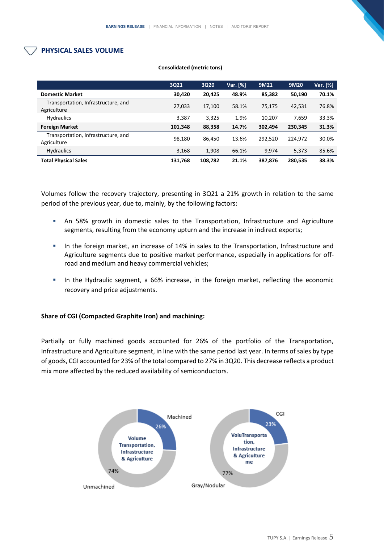## **PHYSICAL SALES VOLUME**

|                                                    | 3Q21    | 3Q20    | Var. [%] | 9M21    | 9M20    | Var. [%] |
|----------------------------------------------------|---------|---------|----------|---------|---------|----------|
| <b>Domestic Market</b>                             | 30,420  | 20,425  | 48.9%    | 85,382  | 50,190  | 70.1%    |
| Transportation, Infrastructure, and<br>Agriculture | 27,033  | 17,100  | 58.1%    | 75.175  | 42.531  | 76.8%    |
| <b>Hydraulics</b>                                  | 3,387   | 3.325   | 1.9%     | 10,207  | 7,659   | 33.3%    |
| <b>Foreign Market</b>                              | 101,348 | 88,358  | 14.7%    | 302.494 | 230.345 | 31.3%    |
| Transportation, Infrastructure, and<br>Agriculture | 98.180  | 86,450  | 13.6%    | 292.520 | 224,972 | 30.0%    |
| <b>Hydraulics</b>                                  | 3,168   | 1,908   | 66.1%    | 9.974   | 5,373   | 85.6%    |
| <b>Total Physical Sales</b>                        | 131.768 | 108,782 | 21.1%    | 387.876 | 280,535 | 38.3%    |

#### **Consolidated (metric tons)**

Volumes follow the recovery trajectory, presenting in 3Q21 a 21% growth in relation to the same period of the previous year, due to, mainly, by the following factors:

- **■** An 58% growth in domestic sales to the Transportation, Infrastructure and Agriculture segments, resulting from the economy upturn and the increase in indirect exports;
- **■** In the foreign market, an increase of 14% in sales to the Transportation, Infrastructure and Agriculture segments due to positive market performance, especially in applications for offroad and medium and heavy commercial vehicles;
- **■** In the Hydraulic segment, a 66% increase, in the foreign market, reflecting the economic recovery and price adjustments.

#### **Share of CGI (Compacted Graphite Iron) and machining:**

Partially or fully machined goods accounted for 26% of the portfolio of the Transportation, Infrastructure and Agriculture segment, in line with the same period last year. In terms of sales by type of goods, CGI accounted for 23% of the total compared to 27% in 3Q20. This decrease reflects a product mix more affected by the reduced availability of semiconductors.

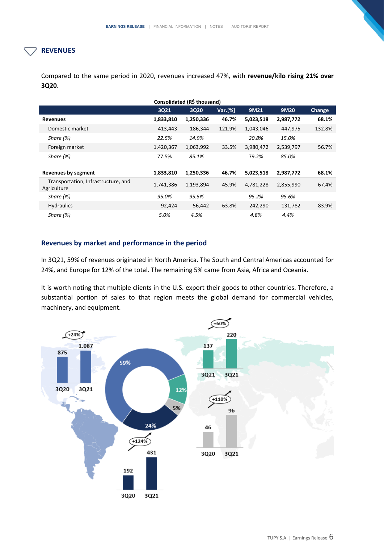## **REVENUES**

Compared to the same period in 2020, revenues increased 47%, with **revenue/kilo rising 21% over 3Q20**.

| Consolidated (R\$ thousand)                        |           |           |         |           |           |               |  |  |  |  |
|----------------------------------------------------|-----------|-----------|---------|-----------|-----------|---------------|--|--|--|--|
|                                                    | 3Q21      | 3Q20      | Var.[%] | 9M21      | 9M20      | <b>Change</b> |  |  |  |  |
| <b>Revenues</b>                                    | 1,833,810 | 1,250,336 | 46.7%   | 5,023,518 | 2,987,772 | 68.1%         |  |  |  |  |
| Domestic market                                    | 413,443   | 186,344   | 121.9%  | 1,043,046 | 447,975   | 132.8%        |  |  |  |  |
| Share (%)                                          | 22.5%     | 14.9%     |         | 20.8%     | 15.0%     |               |  |  |  |  |
| Foreign market                                     | 1,420,367 | 1,063,992 | 33.5%   | 3,980,472 | 2,539,797 | 56.7%         |  |  |  |  |
| Share $(%)$                                        | 77.5%     | 85.1%     |         | 79.2%     | 85.0%     |               |  |  |  |  |
| <b>Revenues by segment</b>                         | 1,833,810 | 1,250,336 | 46.7%   | 5,023,518 | 2,987,772 | 68.1%         |  |  |  |  |
| Transportation, Infrastructure, and<br>Agriculture | 1,741,386 | 1,193,894 | 45.9%   | 4,781,228 | 2,855,990 | 67.4%         |  |  |  |  |
| Share (%)                                          | 95.0%     | 95.5%     |         | 95.2%     | 95.6%     |               |  |  |  |  |
| <b>Hydraulics</b>                                  | 92,424    | 56,442    | 63.8%   | 242,290   | 131,782   | 83.9%         |  |  |  |  |
| Share $(\%)$                                       | 5.0%      | 4.5%      |         | 4.8%      | 4.4%      |               |  |  |  |  |

## **Revenues by market and performance in the period**

In 3Q21, 59% of revenues originated in North America. The South and Central Americas accounted for 24%, and Europe for 12% of the total. The remaining 5% came from Asia, Africa and Oceania.

It is worth noting that multiple clients in the U.S. export their goods to other countries. Therefore, a substantial portion of sales to that region meets the global demand for commercial vehicles, machinery, and equipment.

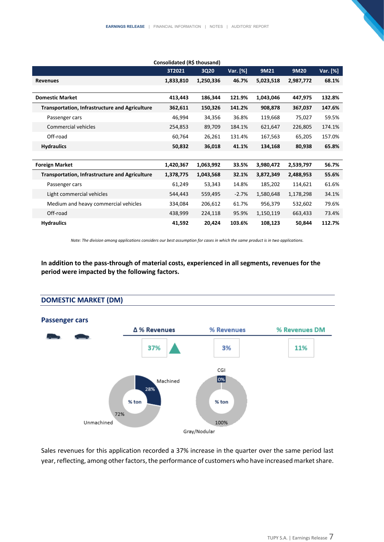|                                                       | 3T2021    | 3Q20      | Var. [%] | 9M21      | 9M20      | Var. [%] |
|-------------------------------------------------------|-----------|-----------|----------|-----------|-----------|----------|
| <b>Revenues</b>                                       | 1,833,810 | 1,250,336 | 46.7%    | 5,023,518 | 2,987,772 | 68.1%    |
| <b>Domestic Market</b>                                | 413,443   | 186,344   | 121.9%   | 1,043,046 | 447,975   | 132.8%   |
| <b>Transportation, Infrastructure and Agriculture</b> | 362,611   | 150,326   | 141.2%   | 908,878   | 367,037   | 147.6%   |
| Passenger cars                                        | 46,994    | 34,356    | 36.8%    | 119,668   | 75,027    | 59.5%    |
| Commercial vehicles                                   | 254,853   | 89,709    | 184.1%   | 621,647   | 226,805   | 174.1%   |
| Off-road                                              | 60,764    | 26,261    | 131.4%   | 167,563   | 65,205    | 157.0%   |
| <b>Hydraulics</b>                                     | 50,832    | 36,018    | 41.1%    | 134,168   | 80,938    | 65.8%    |
|                                                       |           |           |          |           |           |          |
| <b>Foreign Market</b>                                 | 1,420,367 | 1,063,992 | 33.5%    | 3,980,472 | 2,539,797 | 56.7%    |
| <b>Transportation, Infrastructure and Agriculture</b> | 1,378,775 | 1,043,568 | 32.1%    | 3,872,349 | 2,488,953 | 55.6%    |
| Passenger cars                                        | 61,249    | 53,343    | 14.8%    | 185,202   | 114,621   | 61.6%    |
| Light commercial vehicles                             | 544,443   | 559,495   | $-2.7%$  | 1,580,648 | 1,178,298 | 34.1%    |
| Medium and heavy commercial vehicles                  | 334,084   | 206,612   | 61.7%    | 956,379   | 532,602   | 79.6%    |
| Off-road                                              | 438,999   | 224,118   | 95.9%    | 1,150,119 | 663,433   | 73.4%    |
| <b>Hydraulics</b>                                     | 41,592    | 20,424    | 103.6%   | 108,123   | 50,844    | 112.7%   |

*Note: The division among applications considers our best assumption for cases in which the same product is in two applications.*

**In addition to the pass-through of material costs, experienced in all segments, revenues for the period were impacted by the following factors.** 





Sales revenues for this application recorded a 37% increase in the quarter over the same period last year, reflecting, among other factors, the performance of customers who have increased market share.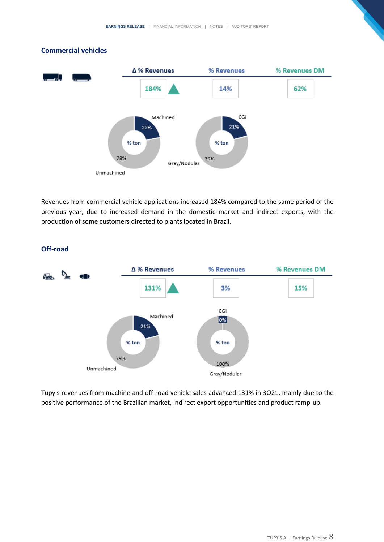#### **Commercial vehicles**



Revenues from commercial vehicle applications increased 184% compared to the same period of the previous year, due to increased demand in the domestic market and indirect exports, with the production of some customers directed to plants located in Brazil.



#### **Off-road**

Tupy's revenues from machine and off-road vehicle sales advanced 131% in 3Q21, mainly due to the positive performance of the Brazilian market, indirect export opportunities and product ramp-up.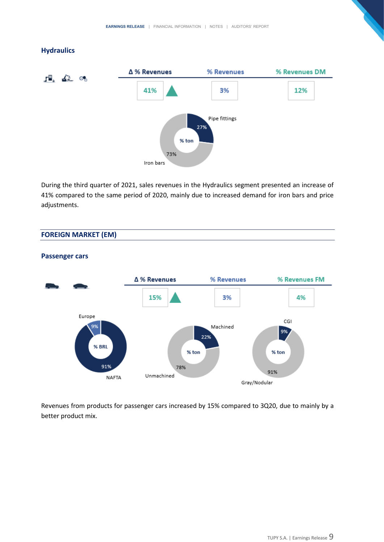### **Hydraulics**



During the third quarter of 2021, sales revenues in the Hydraulics segment presented an increase of 41% compared to the same period of 2020, mainly due to increased demand for iron bars and price adjustments.

## **FOREIGN MARKET (EM)**



## **Passenger cars**

Revenues from products for passenger cars increased by 15% compared to 3Q20, due to mainly by a better product mix.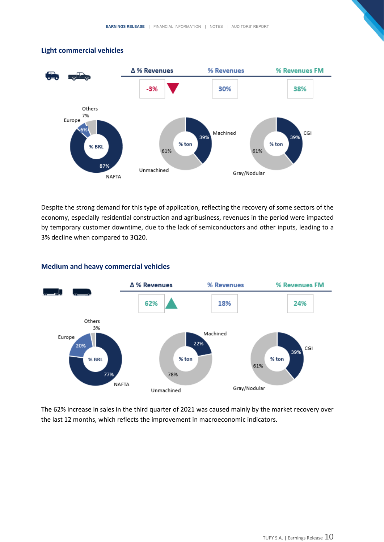



Despite the strong demand for this type of application, reflecting the recovery of some sectors of the economy, especially residential construction and agribusiness, revenues in the period were impacted by temporary customer downtime, due to the lack of semiconductors and other inputs, leading to a 3% decline when compared to 3Q20.



#### **Medium and heavy commercial vehicles**

The 62% increase in sales in the third quarter of 2021 was caused mainly by the market recovery over the last 12 months, which reflects the improvement in macroeconomic indicators.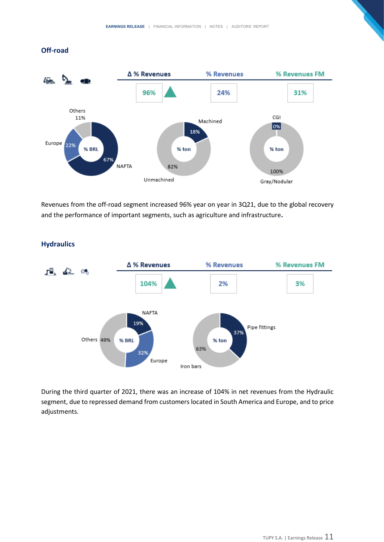## **Off-road**



Revenues from the off-road segment increased 96% year on year in 3Q21, due to the global recovery and the performance of important segments, such as agriculture and infrastructure**.**



#### **Hydraulics**

During the third quarter of 2021, there was an increase of 104% in net revenues from the Hydraulic segment, due to repressed demand from customers located in South America and Europe, and to price adjustments.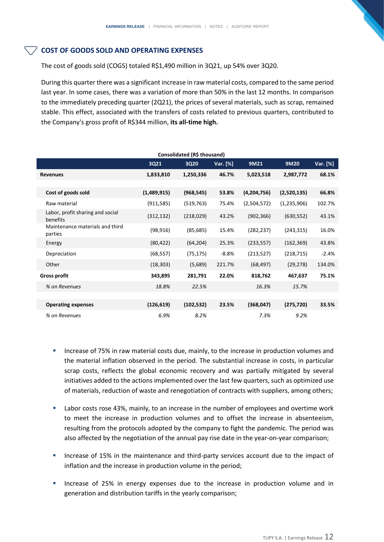## **COST OF GOODS SOLD AND OPERATING EXPENSES**

The cost of goods sold (COGS) totaled R\$1,490 million in 3Q21, up 54% over 3Q20.

During this quarter there was a significant increase in raw material costs, compared to the same period last year. In some cases, there was a variation of more than 50% in the last 12 months. In comparison to the immediately preceding quarter (2Q21), the prices of several materials, such as scrap, remained stable. This effect, associated with the transfers of costs related to previous quarters, contributed to the Company's gross profit of R\$344 million, **its all-time high.**

|                                              | 3Q21        | Consolidated (R\$ thousand)<br>3Q20 | Var. [%] | 9M21        | 9M20        | Var. [%] |
|----------------------------------------------|-------------|-------------------------------------|----------|-------------|-------------|----------|
|                                              |             |                                     |          |             |             |          |
| <b>Revenues</b>                              | 1,833,810   | 1,250,336                           | 46.7%    | 5,023,518   | 2,987,772   | 68.1%    |
|                                              |             |                                     |          |             |             |          |
| Cost of goods sold                           | (1,489,915) | (968, 545)                          | 53.8%    | (4,204,756) | (2,520,135) | 66.8%    |
| Raw material                                 | (911, 585)  | (519, 763)                          | 75.4%    | (2,504,572) | (1,235,906) | 102.7%   |
| Labor, profit sharing and social<br>benefits | (312, 132)  | (218, 029)                          | 43.2%    | (902, 366)  | (630, 552)  | 43.1%    |
| Maintenance materials and third<br>parties   | (98, 916)   | (85, 685)                           | 15.4%    | (282, 237)  | (243, 315)  | 16.0%    |
| Energy                                       | (80, 422)   | (64, 204)                           | 25.3%    | (233, 557)  | (162, 369)  | 43.8%    |
| Depreciation                                 | (68, 557)   | (75, 175)                           | $-8.8%$  | (213, 527)  | (218,715)   | $-2.4%$  |
| Other                                        | (18, 303)   | (5,689)                             | 221.7%   | (68, 497)   | (29, 278)   | 134.0%   |
| <b>Gross profit</b>                          | 343,895     | 281,791                             | 22.0%    | 818,762     | 467,637     | 75.1%    |
| % on Revenues                                | 18.8%       | 22.5%                               |          | 16.3%       | 15.7%       |          |
|                                              |             |                                     |          |             |             |          |
| <b>Operating expenses</b>                    | (126, 619)  | (102, 532)                          | 23.5%    | (368,047)   | (275, 720)  | 33.5%    |
| % on Revenues                                | 6.9%        | 8.2%                                |          | 7.3%        | 9.2%        |          |

- **EXEDENCE 19 Increase of 75% in raw material costs due, mainly, to the increase in production volumes and** the material inflation observed in the period. The substantial increase in costs, in particular scrap costs, reflects the global economic recovery and was partially mitigated by several initiatives added to the actions implemented over the last few quarters, such as optimized use of materials, reduction of waste and renegotiation of contracts with suppliers, among others;
- Labor costs rose 43%, mainly, to an increase in the number of employees and overtime work to meet the increase in production volumes and to offset the increase in absenteeism, resulting from the protocols adopted by the company to fight the pandemic. The period was also affected by the negotiation of the annual pay rise date in the year-on-year comparison;
- Increase of 15% in the maintenance and third-party services account due to the impact of inflation and the increase in production volume in the period;
- Increase of 25% in energy expenses due to the increase in production volume and in generation and distribution tariffs in the yearly comparison;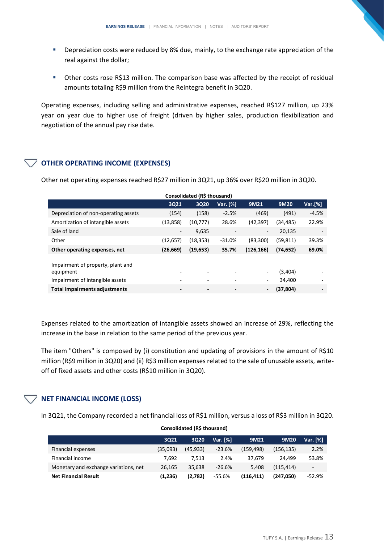- **•** Depreciation costs were reduced by 8% due, mainly, to the exchange rate appreciation of the real against the dollar;
- Other costs rose R\$13 million. The comparison base was affected by the receipt of residual amounts totaling R\$9 million from the Reintegra benefit in 3Q20.

Operating expenses, including selling and administrative expenses, reached R\$127 million, up 23% year on year due to higher use of freight (driven by higher sales, production flexibilization and negotiation of the annual pay rise date.

## **OTHER OPERATING INCOME (EXPENSES)**

Other net operating expenses reached R\$27 million in 3Q21, up 36% over R\$20 million in 3Q20.

| Consolidated (R\$ thousand)                                                       |                          |                              |                          |                          |                   |         |  |  |  |  |
|-----------------------------------------------------------------------------------|--------------------------|------------------------------|--------------------------|--------------------------|-------------------|---------|--|--|--|--|
|                                                                                   | 3Q21                     | 3Q20                         | Var. [%]                 | 9M21                     | 9M20              | Var.[%] |  |  |  |  |
| Depreciation of non-operating assets                                              | (154)                    | (158)                        | $-2.5%$                  | (469)                    | (491)             | $-4.5%$ |  |  |  |  |
| Amortization of intangible assets                                                 | (13, 858)                | (10, 777)                    | 28.6%                    | (42, 397)                | (34,485)          | 22.9%   |  |  |  |  |
| Sale of land                                                                      | $\overline{\phantom{a}}$ | 9,635                        | $\overline{\phantom{a}}$ | $\overline{\phantom{a}}$ | 20,135            |         |  |  |  |  |
| Other                                                                             | (12, 657)                | (18, 353)                    | $-31.0%$                 | (83,300)                 | (59, 811)         | 39.3%   |  |  |  |  |
| Other operating expenses, net                                                     | (26, 669)                | (19, 653)                    | 35.7%                    | (126, 166)               | (74, 652)         | 69.0%   |  |  |  |  |
| Impairment of property, plant and<br>equipment<br>Impairment of intangible assets | $\overline{\phantom{0}}$ |                              |                          | ۰                        | (3,404)<br>34,400 |         |  |  |  |  |
| <b>Total impairments adjustments</b>                                              | $\overline{\phantom{a}}$ | $\qquad \qquad \blacksquare$ | $\blacksquare$           | $\overline{\phantom{a}}$ | (37, 804)         |         |  |  |  |  |

Expenses related to the amortization of intangible assets showed an increase of 29%, reflecting the increase in the base in relation to the same period of the previous year.

The item "Others" is composed by (i) constitution and updating of provisions in the amount of R\$10 million (R\$9 million in 3Q20) and (ii) R\$3 million expenses related to the sale of unusable assets, writeoff of fixed assets and other costs (R\$10 million in 3Q20).

## **NET FINANCIAL INCOME (LOSS)**

In 3Q21, the Company recorded a net financial loss of R\$1 million, versus a loss of R\$3 million in 3Q20.

|                                       | 3021     | 3Q20      | Var. $[%]$ | 9M21       | 9M20       | Var. [%]                 |
|---------------------------------------|----------|-----------|------------|------------|------------|--------------------------|
| Financial expenses                    | (35,093) | (45, 933) | $-23.6%$   | (159, 498) | (156, 135) | 2.2%                     |
| Financial income                      | 7.692    | 7.513     | 2.4%       | 37.679     | 24.499     | 53.8%                    |
| Monetary and exchange variations, net | 26,165   | 35.638    | $-26.6%$   | 5.408      | (115, 414) | $\overline{\phantom{a}}$ |
| <b>Net Financial Result</b>           | (1,236)  | (2,782)   | -55.6%     | (116, 411) | (247.050)  | $-52.9%$                 |

#### **Consolidated (R\$ thousand)**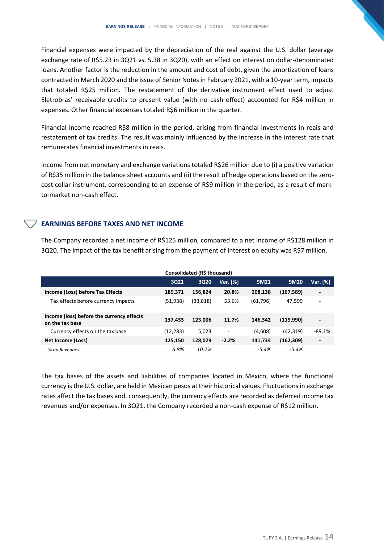Financial expenses were impacted by the depreciation of the real against the U.S. dollar (average exchange rate of R\$5.23 in 3Q21 vs. 5.38 in 3Q20), with an effect on interest on dollar-denominated loans. Another factor is the reduction in the amount and cost of debt, given the amortization of loans contracted in March 2020 and the issue of Senior Notes in February 2021, with a 10-year term, impacts that totaled R\$25 million. The restatement of the derivative instrument effect used to adjust Eletrobras' receivable credits to present value (with no cash effect) accounted for R\$4 million in expenses. Other financial expenses totaled R\$6 million in the quarter.

Financial income reached R\$8 million in the period, arising from financial investments in reais and restatement of tax credits. The result was mainly influenced by the increase in the interest rate that remunerates financial investments in reais.

Income from net monetary and exchange variations totaled R\$26 million due to (i) a positive variation of R\$35 million in the balance sheet accounts and (ii) the result of hedge operations based on the zerocost collar instrument, corresponding to an expense of R\$9 million in the period, as a result of markto-market non-cash effect.

## **EARNINGS BEFORE TAXES AND NET INCOME**

The Company recorded a net income of R\$125 million, compared to a net income of R\$128 million in 3Q20. The impact of the tax benefit arising from the payment of interest on equity was R\$7 million.

|                                                              | Consolidated (R\$ thousand) |             |          |           |            |                          |  |  |  |
|--------------------------------------------------------------|-----------------------------|-------------|----------|-----------|------------|--------------------------|--|--|--|
|                                                              | 3Q21                        | <b>3Q20</b> | Var. [%] | 9M21      | 9M20       | Var. [%]                 |  |  |  |
| Income (Loss) before Tax Effects                             | 189,371                     | 156,824     | 20.8%    | 208,138   | (167, 589) | $\overline{\phantom{a}}$ |  |  |  |
| Tax effects before currency impacts                          | (51,938)                    | (33,818)    | 53.6%    | (61, 796) | 47,599     | $\blacksquare$           |  |  |  |
| Income (loss) before the currency effects<br>on the tax base | 137,433                     | 123.006     | 11.7%    | 146.342   | (119,990)  | $\overline{\phantom{a}}$ |  |  |  |
| Currency effects on the tax base                             | (12,283)                    | 5,023       | ٠        | (4,608)   | (42, 319)  | $-89.1%$                 |  |  |  |
| Net Income (Loss)                                            | 125,150                     | 128,029     | $-2.2%$  | 141,734   | (162, 309) | $\overline{\phantom{a}}$ |  |  |  |
| % on Revenues                                                | 6.8%                        | 10.2%       |          | -5.4%     | -5.4%      |                          |  |  |  |

The tax bases of the assets and liabilities of companies located in Mexico, where the functional currency is the U.S. dollar, are held in Mexican pesos at their historical values. Fluctuations in exchange rates affect the tax bases and, consequently, the currency effects are recorded as deferred income tax revenues and/or expenses. In 3Q21, the Company recorded a non-cash expense of R\$12 million.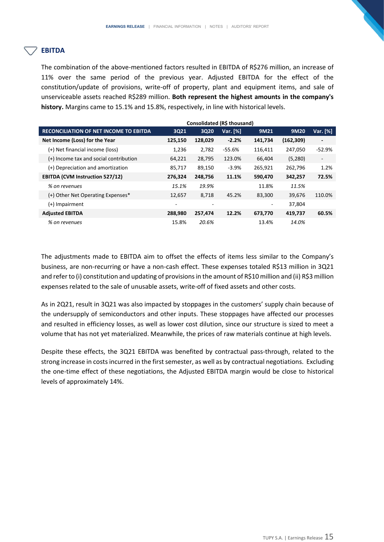## **EBITDA**

The combination of the above-mentioned factors resulted in EBITDA of R\$276 million, an increase of 11% over the same period of the previous year. Adjusted EBITDA for the effect of the constitution/update of provisions, write-off of property, plant and equipment items, and sale of unserviceable assets reached R\$289 million. **Both represent the highest amounts in the company's history.** Margins came to 15.1% and 15.8%, respectively, in line with historical levels.

|                                               | Consolidated (R\$ thousand) |         |          |         |            |                          |  |  |  |
|-----------------------------------------------|-----------------------------|---------|----------|---------|------------|--------------------------|--|--|--|
| <b>RECONCILIATION OF NET INCOME TO EBITDA</b> | 3Q21                        | 3Q20    | Var. [%] | 9M21    | 9M20       | Var. [%]                 |  |  |  |
| Net Income (Loss) for the Year                | 125,150                     | 128,029 | $-2.2%$  | 141,734 | (162, 309) | $\overline{\phantom{a}}$ |  |  |  |
| (+) Net financial income (loss)               | 1,236                       | 2,782   | -55.6%   | 116,411 | 247,050    | $-52.9%$                 |  |  |  |
| $(+)$ Income tax and social contribution      | 64,221                      | 28,795  | 123.0%   | 66,404  | (5,280)    | $\overline{\phantom{a}}$ |  |  |  |
| (+) Depreciation and amortization             | 85,717                      | 89,150  | $-3.9%$  | 265,921 | 262,796    | 1.2%                     |  |  |  |
| <b>EBITDA (CVM Instruction 527/12)</b>        | 276,324                     | 248,756 | 11.1%    | 590,470 | 342,257    | 72.5%                    |  |  |  |
| % on revenues                                 | 15.1%                       | 19.9%   |          | 11.8%   | 11.5%      |                          |  |  |  |
| (+) Other Net Operating Expenses*             | 12,657                      | 8,718   | 45.2%    | 83,300  | 39,676     | 110.0%                   |  |  |  |
| $(+)$ Impairment                              | ٠                           |         |          |         | 37,804     |                          |  |  |  |
| <b>Adjusted EBITDA</b>                        | 288,980                     | 257,474 | 12.2%    | 673,770 | 419,737    | 60.5%                    |  |  |  |
| % on revenues                                 | 15.8%                       | 20.6%   |          | 13.4%   | 14.0%      |                          |  |  |  |

The adjustments made to EBITDA aim to offset the effects of items less similar to the Company's business, are non-recurring or have a non-cash effect. These expenses totaled R\$13 million in 3Q21 and refer to (i) constitution and updating of provisions in the amount of R\$10 million and (ii) R\$3 million expenses related to the sale of unusable assets, write-off of fixed assets and other costs.

As in 2Q21, result in 3Q21 was also impacted by stoppages in the customers' supply chain because of the undersupply of semiconductors and other inputs. These stoppages have affected our processes and resulted in efficiency losses, as well as lower cost dilution, since our structure is sized to meet a volume that has not yet materialized. Meanwhile, the prices of raw materials continue at high levels.

Despite these effects, the 3Q21 EBITDA was benefited by contractual pass-through, related to the strong increase in costs incurred in the first semester, as well as by contractual negotiations. Excluding the one-time effect of these negotiations, the Adjusted EBITDA margin would be close to historical levels of approximately 14%.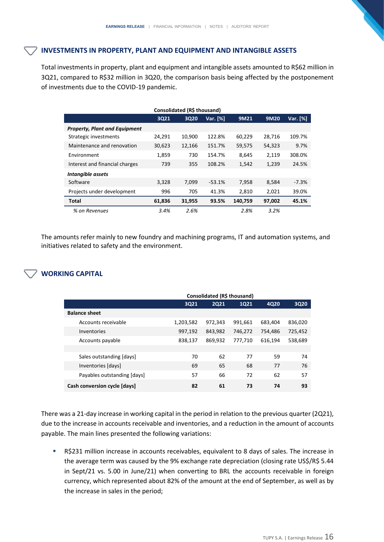#### **INVESTMENTS IN PROPERTY, PLANT AND EQUIPMENT AND INTANGIBLE ASSETS**

Total investments in property, plant and equipment and intangible assets amounted to R\$62 million in 3Q21, compared to R\$32 million in 3Q20, the comparison basis being affected by the postponement of investments due to the COVID-19 pandemic.

| Consolidated (R\$ thousand)          |        |        |          |         |        |            |  |  |  |  |
|--------------------------------------|--------|--------|----------|---------|--------|------------|--|--|--|--|
|                                      | 3Q21   | 3020   | Var. [%] | 9M21    | 9M20   | Var. $[%]$ |  |  |  |  |
| <b>Property, Plant and Equipment</b> |        |        |          |         |        |            |  |  |  |  |
| Strategic investments                | 24,291 | 10,900 | 122.8%   | 60,229  | 28,716 | 109.7%     |  |  |  |  |
| Maintenance and renovation           | 30,623 | 12,166 | 151.7%   | 59,575  | 54,323 | 9.7%       |  |  |  |  |
| Environment                          | 1.859  | 730    | 154.7%   | 8.645   | 2,119  | 308.0%     |  |  |  |  |
| Interest and financial charges       | 739    | 355    | 108.2%   | 1,542   | 1,239  | 24.5%      |  |  |  |  |
| Intangible assets                    |        |        |          |         |        |            |  |  |  |  |
| Software                             | 3,328  | 7,099  | $-53.1%$ | 7,958   | 8,584  | $-7.3%$    |  |  |  |  |
| Projects under development           | 996    | 705    | 41.3%    | 2,810   | 2,021  | 39.0%      |  |  |  |  |
| <b>Total</b>                         | 61,836 | 31,955 | 93.5%    | 140,759 | 97,002 | 45.1%      |  |  |  |  |
| % on Revenues                        | 3.4%   | 2.6%   |          | 2.8%    | 3.2%   |            |  |  |  |  |

The amounts refer mainly to new foundry and machining programs, IT and automation systems, and initiatives related to safety and the environment.

## **WORKING CAPITAL**

|                              | Consolidated (R\$ thousand) |         |             |         |             |  |  |  |  |
|------------------------------|-----------------------------|---------|-------------|---------|-------------|--|--|--|--|
|                              | 3021                        | 2021    | <b>1Q21</b> | 4Q20    | <b>3Q20</b> |  |  |  |  |
| <b>Balance sheet</b>         |                             |         |             |         |             |  |  |  |  |
| Accounts receivable          | 1,203,582                   | 972,343 | 991,661     | 683,404 | 836,020     |  |  |  |  |
| Inventories                  | 997,192                     | 843,982 | 746,272     | 754,486 | 725,452     |  |  |  |  |
| Accounts payable             | 838,137                     | 869,932 | 777,710     | 616,194 | 538,689     |  |  |  |  |
|                              |                             |         |             |         |             |  |  |  |  |
| Sales outstanding [days]     | 70                          | 62      | 77          | 59      | 74          |  |  |  |  |
| Inventories [days]           | 69                          | 65      | 68          | 77      | 76          |  |  |  |  |
| Payables outstanding [days]  | 57                          | 66      | 72          | 62      | 57          |  |  |  |  |
| Cash conversion cycle [days] | 82                          | 61      | 73          | 74      | 93          |  |  |  |  |

There was a 21-day increase in working capital in the period in relation to the previous quarter (2Q21), due to the increase in accounts receivable and inventories, and a reduction in the amount of accounts payable. The main lines presented the following variations:

**EXECTS** R\$231 million increase in accounts receivables, equivalent to 8 days of sales. The increase in the average term was caused by the 9% exchange rate depreciation (closing rate US\$/R\$ 5.44 in Sept/21 vs. 5.00 in June/21) when converting to BRL the accounts receivable in foreign currency, which represented about 82% of the amount at the end of September, as well as by the increase in sales in the period;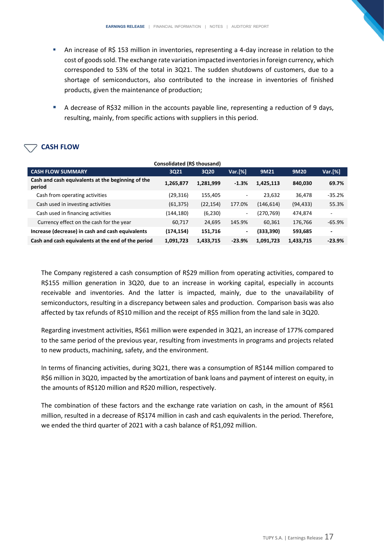- **•** An increase of R\$ 153 million in inventories, representing a 4-day increase in relation to the cost of goods sold. The exchange rate variation impacted inventories in foreign currency, which corresponded to 53% of the total in 3Q21. The sudden shutdowns of customers, due to a shortage of semiconductors, also contributed to the increase in inventories of finished products, given the maintenance of production;
- A decrease of R\$32 million in the accounts payable line, representing a reduction of 9 days, resulting, mainly, from specific actions with suppliers in this period.

# **CASH FLOW**

| Consolidated (R\$ thousand)                                 |            |           |          |            |           |          |  |  |
|-------------------------------------------------------------|------------|-----------|----------|------------|-----------|----------|--|--|
| <b>CASH FLOW SUMMARY</b>                                    | 3021       | 3Q20      | Var.[%]  | 9M21       | 9M20      | Var.[%]  |  |  |
| Cash and cash equivalents at the beginning of the<br>period | 1,265,877  | 1,281,999 | $-1.3%$  | 1,425,113  | 840.030   | 69.7%    |  |  |
| Cash from operating activities                              | (29,316)   | 155,405   | ٠        | 23,632     | 36,478    | $-35.2%$ |  |  |
| Cash used in investing activities                           | (61, 375)  | (22, 154) | 177.0%   | (146, 614) | (94, 433) | 55.3%    |  |  |
| Cash used in financing activities                           | (144,180)  | (6, 230)  | ۰.       | (270, 769) | 474,874   |          |  |  |
| Currency effect on the cash for the year                    | 60,717     | 24,695    | 145.9%   | 60.361     | 176,766   | $-65.9%$ |  |  |
| Increase (decrease) in cash and cash equivalents            | (174, 154) | 151,716   | ٠        | (333, 390) | 593,685   | ۰        |  |  |
| Cash and cash equivalents at the end of the period          | 1,091,723  | 1,433,715 | $-23.9%$ | 1,091,723  | 1,433,715 | $-23.9%$ |  |  |

The Company registered a cash consumption of R\$29 million from operating activities, compared to R\$155 million generation in 3Q20, due to an increase in working capital, especially in accounts receivable and inventories. And the latter is impacted, mainly, due to the unavailability of semiconductors, resulting in a discrepancy between sales and production. Comparison basis was also affected by tax refunds of R\$10 million and the receipt of R\$5 million from the land sale in 3Q20.

Regarding investment activities, R\$61 million were expended in 3Q21, an increase of 177% compared to the same period of the previous year, resulting from investments in programs and projects related to new products, machining, safety, and the environment.

In terms of financing activities, during 3Q21, there was a consumption of R\$144 million compared to R\$6 million in 3Q20, impacted by the amortization of bank loans and payment of interest on equity, in the amounts of R\$120 million and R\$20 million, respectively.

The combination of these factors and the exchange rate variation on cash, in the amount of R\$61 million, resulted in a decrease of R\$174 million in cash and cash equivalents in the period. Therefore, we ended the third quarter of 2021 with a cash balance of R\$1,092 million.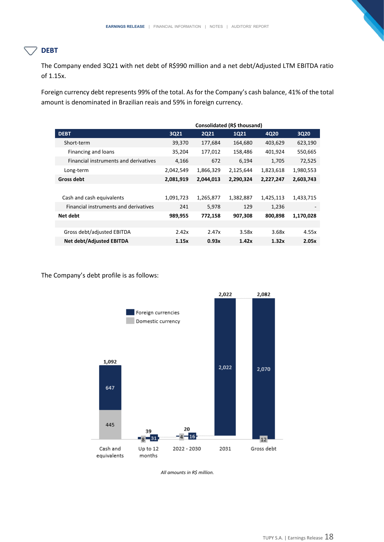## **DEBT**

The Company ended 3Q21 with net debt of R\$990 million and a net debt/Adjusted LTM EBITDA ratio of 1.15x.

Foreign currency debt represents 99% of the total. As for the Company's cash balance, 41% of the total amount is denominated in Brazilian reais and 59% in foreign currency.

|                                       | Consolidated (R\$ thousand) |             |           |           |                          |  |  |
|---------------------------------------|-----------------------------|-------------|-----------|-----------|--------------------------|--|--|
| <b>DEBT</b>                           | 3Q21                        | <b>2Q21</b> | 1Q21      | 4Q20      | 3Q20                     |  |  |
| Short-term                            | 39,370                      | 177,684     | 164,680   | 403,629   | 623,190                  |  |  |
| Financing and loans                   | 35,204                      | 177,012     | 158,486   | 401,924   | 550,665                  |  |  |
| Financial instruments and derivatives | 4,166                       | 672         | 6,194     | 1,705     | 72,525                   |  |  |
| Long-term                             | 2,042,549                   | 1,866,329   | 2,125,644 | 1,823,618 | 1,980,553                |  |  |
| Gross debt                            | 2,081,919                   | 2,044,013   | 2,290,324 | 2,227,247 | 2,603,743                |  |  |
|                                       |                             |             |           |           |                          |  |  |
| Cash and cash equivalents             | 1,091,723                   | 1,265,877   | 1,382,887 | 1,425,113 | 1,433,715                |  |  |
| Financial instruments and derivatives | 241                         | 5,978       | 129       | 1,236     | $\overline{\phantom{a}}$ |  |  |
| Net debt                              | 989,955                     | 772,158     | 907,308   | 800,898   | 1,170,028                |  |  |
|                                       |                             |             |           |           |                          |  |  |
| Gross debt/adjusted EBITDA            | 2.42x                       | 2.47x       | 3.58x     | 3.68x     | 4.55x                    |  |  |
| Net debt/Adjusted EBITDA              | 1.15x                       | 0.93x       | 1.42x     | 1.32x     | 2.05x                    |  |  |

The Company's debt profile is as follows:



*All amounts in R\$ million.*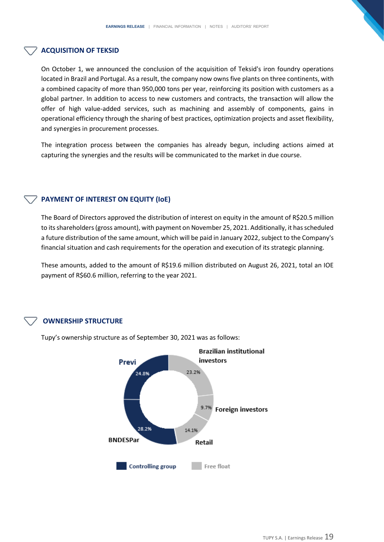#### **ACQUISITION OF TEKSID**

On October 1, we announced the conclusion of the acquisition of Teksid's iron foundry operations located in Brazil and Portugal. As a result, the company now owns five plants on three continents, with a combined capacity of more than 950,000 tons per year, reinforcing its position with customers as a global partner. In addition to access to new customers and contracts, the transaction will allow the offer of high value-added services, such as machining and assembly of components, gains in operational efficiency through the sharing of best practices, optimization projects and asset flexibility, and synergies in procurement processes.

The integration process between the companies has already begun, including actions aimed at capturing the synergies and the results will be communicated to the market in due course.

#### **PAYMENT OF INTEREST ON EQUITY (IoE)**

The Board of Directors approved the distribution of interest on equity in the amount of R\$20.5 million to its shareholders (gross amount), with payment on November 25, 2021. Additionally, it has scheduled a future distribution of the same amount, which will be paid in January 2022, subject to the Company's financial situation and cash requirements for the operation and execution of its strategic planning.

These amounts, added to the amount of R\$19.6 million distributed on August 26, 2021, total an IOE payment of R\$60.6 million, referring to the year 2021.

## **OWNERSHIP STRUCTURE**



Tupy's ownership structure as of September 30, 2021 was as follows: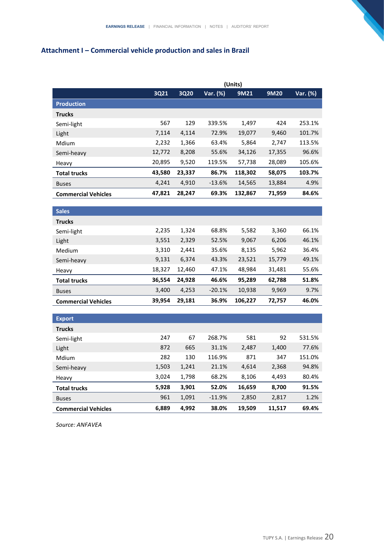# **Attachment I – Commercial vehicle production and sales in Brazil**

|                            |             | (Units)     |          |         |        |          |  |  |
|----------------------------|-------------|-------------|----------|---------|--------|----------|--|--|
|                            | <b>3Q21</b> | <b>3Q20</b> | Var. (%) | 9M21    | 9M20   | Var. (%) |  |  |
| <b>Production</b>          |             |             |          |         |        |          |  |  |
| <b>Trucks</b>              |             |             |          |         |        |          |  |  |
| Semi-light                 | 567         | 129         | 339.5%   | 1,497   | 424    | 253.1%   |  |  |
| Light                      | 7,114       | 4,114       | 72.9%    | 19,077  | 9,460  | 101.7%   |  |  |
| Mdium                      | 2,232       | 1,366       | 63.4%    | 5,864   | 2,747  | 113.5%   |  |  |
| Semi-heavy                 | 12,772      | 8,208       | 55.6%    | 34,126  | 17,355 | 96.6%    |  |  |
| Heavy                      | 20,895      | 9,520       | 119.5%   | 57,738  | 28,089 | 105.6%   |  |  |
| <b>Total trucks</b>        | 43,580      | 23,337      | 86.7%    | 118,302 | 58,075 | 103.7%   |  |  |
| <b>Buses</b>               | 4,241       | 4,910       | $-13.6%$ | 14,565  | 13,884 | 4.9%     |  |  |
| <b>Commercial Vehicles</b> | 47,821      | 28,247      | 69.3%    | 132,867 | 71,959 | 84.6%    |  |  |
|                            |             |             |          |         |        |          |  |  |
| <b>Sales</b>               |             |             |          |         |        |          |  |  |
| <b>Trucks</b>              |             |             |          |         |        |          |  |  |
| Semi-light                 | 2,235       | 1,324       | 68.8%    | 5,582   | 3,360  | 66.1%    |  |  |
| Light                      | 3,551       | 2,329       | 52.5%    | 9,067   | 6,206  | 46.1%    |  |  |
| Medium                     | 3,310       | 2,441       | 35.6%    | 8,135   | 5,962  | 36.4%    |  |  |
| Semi-heavy                 | 9,131       | 6,374       | 43.3%    | 23,521  | 15,779 | 49.1%    |  |  |
| Heavy                      | 18,327      | 12,460      | 47.1%    | 48,984  | 31,481 | 55.6%    |  |  |
| <b>Total trucks</b>        | 36,554      | 24,928      | 46.6%    | 95,289  | 62,788 | 51.8%    |  |  |
| <b>Buses</b>               | 3,400       | 4,253       | $-20.1%$ | 10,938  | 9,969  | 9.7%     |  |  |
| <b>Commercial Vehicles</b> | 39,954      | 29,181      | 36.9%    | 106,227 | 72,757 | 46.0%    |  |  |
|                            |             |             |          |         |        |          |  |  |
| <b>Export</b>              |             |             |          |         |        |          |  |  |
| <b>Trucks</b>              |             |             |          |         |        |          |  |  |
| Semi-light                 | 247         | 67          | 268.7%   | 581     | 92     | 531.5%   |  |  |

| <b>Commercial Vehicles</b> | 6,889 | 4,992 | 38.0%    | 19,509 | 11,517 | 69.4%  |
|----------------------------|-------|-------|----------|--------|--------|--------|
| <b>Buses</b>               | 961   | 1,091 | $-11.9%$ | 2,850  | 2,817  | 1.2%   |
| <b>Total trucks</b>        | 5.928 | 3.901 | 52.0%    | 16.659 | 8.700  | 91.5%  |
| Heavy                      | 3.024 | 1,798 | 68.2%    | 8.106  | 4,493  | 80.4%  |
| Semi-heavy                 | 1,503 | 1,241 | 21.1%    | 4.614  | 2,368  | 94.8%  |
| Mdium                      | 282   | 130   | 116.9%   | 871    | 347    | 151.0% |
| Light                      | 872   | 665   | 31.1%    | 2,487  | 1,400  | 77.6%  |
| Semi-light                 | 247   | 67    | 268.7%   | 581    | 92     | 531.5% |

*Source: ANFAVEA*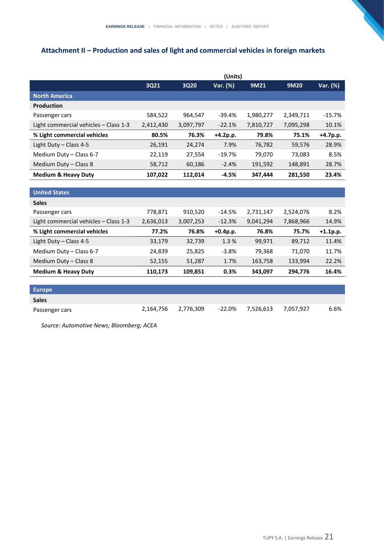# **Attachment II – Production and sales of light and commercial vehicles in foreign markets**

|                                       | (Units)   |           |            |           |           |            |  |
|---------------------------------------|-----------|-----------|------------|-----------|-----------|------------|--|
|                                       | 3Q21      | 3Q20      | Var. (%)   | 9M21      | 9M20      | Var. (%)   |  |
| <b>North America</b>                  |           |           |            |           |           |            |  |
| <b>Production</b>                     |           |           |            |           |           |            |  |
| Passenger cars                        | 584,522   | 964,547   | $-39.4%$   | 1,980,277 | 2,349,711 | $-15.7%$   |  |
| Light commercial vehicles - Class 1-3 | 2,412,430 | 3,097,797 | $-22.1%$   | 7,810,727 | 7,095,298 | 10.1%      |  |
| % Light commercial vehicles           | 80.5%     | 76.3%     | +4.2p.p.   | 79.8%     | 75.1%     | $+4.7p.p.$ |  |
| Light Duty - Class 4-5                | 26,191    | 24,274    | 7.9%       | 76,782    | 59,576    | 28.9%      |  |
| Medium Duty - Class 6-7               | 22,119    | 27,554    | $-19.7%$   | 79,070    | 73,083    | 8.5%       |  |
| Medium Duty - Class 8                 | 58,712    | 60,186    | $-2.4%$    | 191,592   | 148,891   | 28.7%      |  |
| <b>Medium &amp; Heavy Duty</b>        | 107,022   | 112,014   | $-4.5%$    | 347,444   | 281,550   | 23.4%      |  |
|                                       |           |           |            |           |           |            |  |
| <b>United States</b>                  |           |           |            |           |           |            |  |
| <b>Sales</b>                          |           |           |            |           |           |            |  |
| Passenger cars                        | 778,871   | 910,520   | $-14.5%$   | 2,731,147 | 2,524,076 | 8.2%       |  |
| Light commercial vehicles - Class 1-3 | 2,636,013 | 3,007,253 | $-12.3%$   | 9,041,294 | 7,868,966 | 14.9%      |  |
| % Light commercial vehicles           | 77.2%     | 76.8%     | $+0.4p.p.$ | 76.8%     | 75.7%     | $+1.1p.p.$ |  |
| Light Duty - Class 4-5                | 33,179    | 32,739    | 1.3%       | 99,971    | 89,712    | 11.4%      |  |
| Medium Duty - Class 6-7               | 24,839    | 25,825    | $-3.8%$    | 79,368    | 71,070    | 11.7%      |  |
| Medium Duty - Class 8                 | 52,155    | 51,287    | 1.7%       | 163,758   | 133,994   | 22.2%      |  |
| <b>Medium &amp; Heavy Duty</b>        | 110,173   | 109,851   | 0.3%       | 343,097   | 294,776   | 16.4%      |  |
|                                       |           |           |            |           |           |            |  |
| <b>Europe</b>                         |           |           |            |           |           |            |  |
| <b>Sales</b>                          |           |           |            |           |           |            |  |
| Passenger cars                        | 2,164,756 | 2,776,309 | $-22.0%$   | 7,526,613 | 7,057,927 | 6.6%       |  |

*Source: Automotive News; Bloomberg; ACEA*